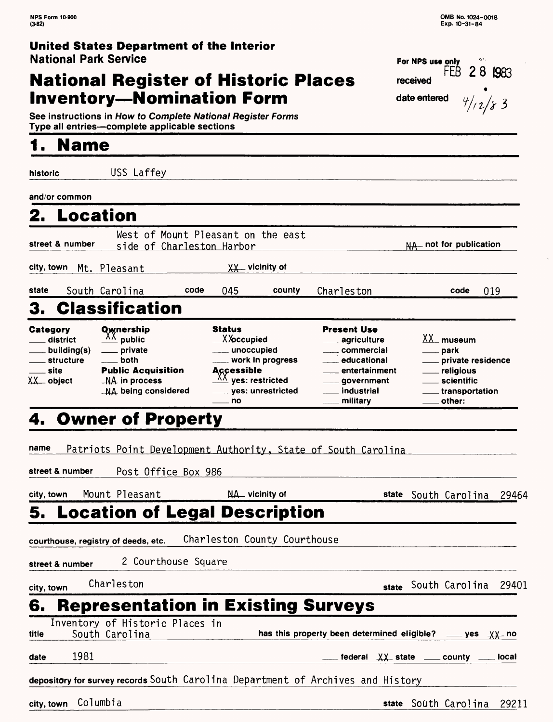#### **United States Department of the Interior National Park Service** For NPS use only

# **National Register of Historic Places Inventory—Nomination Form data and**  $\mathbf{d}$

| FEB $28$ 1983<br>eceived |         |
|--------------------------|---------|
| late entered             | 4/12/83 |

**See instructions in How to Complete National Register Forms Type all entries—complete applicable sections** 

### **1. Name**

**historic** USS Laffey

**and/or common**

### **2. Location**

| street & number         | West of Mount Pleasant on the east<br>side of Charleston Harbor | NA _ not for publication |
|-------------------------|-----------------------------------------------------------------|--------------------------|
| city, town Mt. Pleasant | $\chi\chi$ vicinity of                                          |                          |

### **state** South Carolina **code** 045 county Charleston **code 019** 3. Classification

| Category<br>. district<br>$\equiv$ building(s)<br><u>__</u> __ structure<br>____ site<br>XX<br>object | <b>Q</b> wnership<br>$\frac{\Lambda\Lambda}{\phantom{\Lambda}}$ public<br>____ private<br>$\rule{1em}{0.15mm}$ both<br><b>Public Acquisition</b><br>$\_N$ A in process<br>-NA being considered | <b>Status</b><br>_X <i>X</i> occupied<br>unoccupied<br>____ work in progress<br><b>Accessible</b><br>$\frac{\lambda\lambda}{\lambda}$ yes: restricted<br>____ yes: unrestricted | <b>Present Use</b><br>____ agriculture<br>____ commercial<br>educational<br>entertainment<br>____ government<br>. industrial<br>. militarv | - museum<br>____ park<br>private residence<br>___ religious<br>____ scientific<br>transportation<br>. other: |
|-------------------------------------------------------------------------------------------------------|------------------------------------------------------------------------------------------------------------------------------------------------------------------------------------------------|---------------------------------------------------------------------------------------------------------------------------------------------------------------------------------|--------------------------------------------------------------------------------------------------------------------------------------------|--------------------------------------------------------------------------------------------------------------|
|                                                                                                       |                                                                                                                                                                                                | — no                                                                                                                                                                            |                                                                                                                                            |                                                                                                              |

# 4. Owner of Property

|  |  | name Patriots Point Development Authority, State of South Carolina |  |
|--|--|--------------------------------------------------------------------|--|
|  |  |                                                                    |  |

**street & number** Post Office Box 986

| city, town | Mount Pleasant | NA vicinity of |  | state South Carolina 29464 |  |
|------------|----------------|----------------|--|----------------------------|--|
|            |                |                |  |                            |  |

### **5. Location of Legal Description**

| courthouse, registry of deeds, etc. |  | Charleston County Courthouse |
|-------------------------------------|--|------------------------------|

street & number 2 Courthouse Square

city, town Charleston Charleston state South Carolina 29401

# **6. Representation in Existing Surveys**

Inventory of Historic Places in

title South Carolina **has this property been determined eligible?** *yes*  $\chi\chi$ - no

**date** 1981 **federal XX - state county local**

#### depository for survey records South Carolina Department of Archives and History

city, town Columbia 29211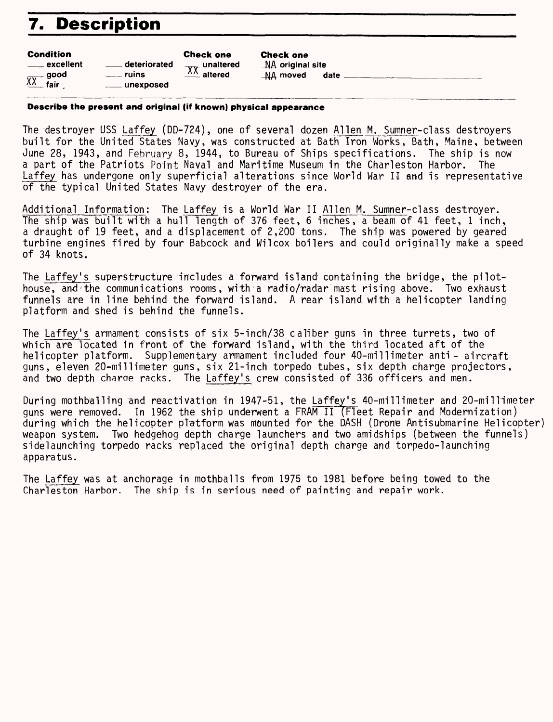# **7. Description**

#### Condition

| vviiuitivii         |                | <b>VIICLA VIIC</b>        |
|---------------------|----------------|---------------------------|
| <u>__</u> excellent | deteriorated   | $\frac{XX}{XX}$ unaltered |
|                     | $\equiv$ ruins |                           |
| $X^{\prime}$ good   | ____ unexposed |                           |
|                     |                |                           |

Check one AA original site  $NA$  moved date

**Describe the present and original (if known) physical appearance**

Check one

The 'destroyer USS Laffey (DD-724), one of several dozen Alien M. Sumner-class destroyers built for the United States Navy, was constructed at Bath Iron Works, Bath, Maine, between June 28, 1943, and February 8, 1944, to Bureau of Ships specifications. The ship is now a part of the Patriots Point Naval and Maritime Museum in the Charleston Harbor. The Laffey has undergone only superficial alterations since World War II and is representative of the typical United States Navy destroyer of the era.

Additional Information: The Laffey is a World War II Alien M. Sumner-class destroyer. The ship was built with a hull length of 376 feet, 6 inches, a beam of 41 feet, 1 inch, a draught of 19 feet, and a displacement of 2,200 tons. The ship was powered by geared turbine engines fired by four Babcock and Wilcox boilers and could originally make a speed of 34 knots.

The Laffey's superstructure 'includes a forward island containing the bridge, the pilothouse, and the communications rooms, with a radio/radar mast rising above. Two exhaust funnels are in line behind the forward island. A rear island with a helicopter landing platform and shed is behind the funnels.

The Laffey's armament consists of six 5-inch/38 caliber guns in three turrets, two of which are located in front of the forward island, with the third located aft of the helicopter platform. Supplementary armament included four 40-millimeter anti - aircraft guns, eleven 20-millimeter guns, six 21-inch torpedo tubes, six depth charge projectors, and two depth charae racks. The Laffey's crew consisted of 336 officers and men.

During mothballing and reactivation in 1947-51, the Laffey's 40-millimeter and 20-millimeter guns were removed. In 1962 the ship underwent a FRAM II (Fleet Repair and Modernization) during which the helicdpter pTatform was mounted for the DASH (Drone Antisubmarine Helicopter) weapon system. Two hedgehog depth charge launchers and two amidships (between the funnels) sidelaunching torpedo racks replaced the original depth charge and torpedo-launching apparatus.

The Laffey was at anchorage in mothballs from 1975 to 1981 before being towed to the Charleston Harbor. The ship is in serious need of painting and repair work.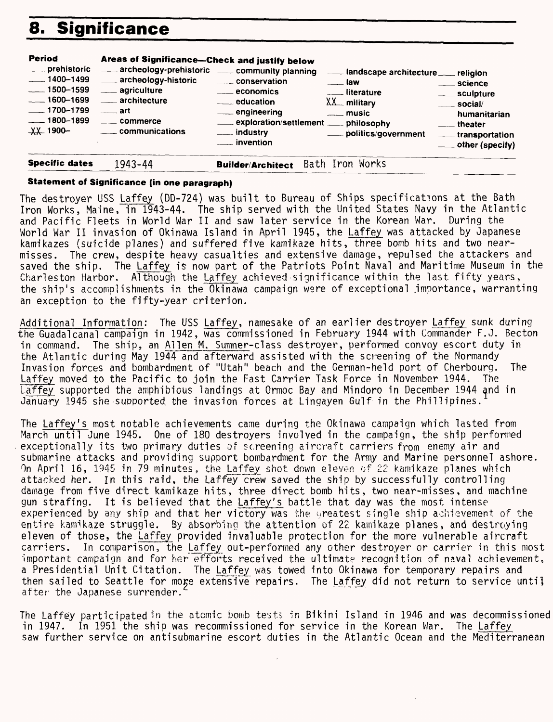# **8. Significance**

| <b>Period</b><br>____ prehistoric<br>$-1400 - 1499$<br>$\frac{1}{2}$ 1500–1599<br>$-1600 - 1699$<br>$\frac{1}{2}$ 1700–1799<br>$-1800 - 1899$<br>$\chi\chi$ 1900- | Areas of Significance-Check and justify below<br>archeology-prehistoric ____ community planning<br>archeology-historic<br>___ agriculture<br>___ architecture<br>$\equiv$ art<br><u>_</u> ____ commerce<br>____ communications | conservation<br>$\equiv$ economics<br><u>_</u> ___ education<br>____ engineering<br>exploration/settlement ___ philosophy<br>____ industry<br><u>__</u> __ invention | and scape architecture ____ religion<br>$\equiv$ law<br><u>.</u> literature<br>$XX$ <sub>military</sub><br>$\equiv$ music<br>politics/government | _____ science<br>____ sculpture<br>$\equiv$ social/<br>humanitarian<br>$\equiv$ theater<br>____transportation<br>$\overline{\phantom{a}}$ other (specify) |
|-------------------------------------------------------------------------------------------------------------------------------------------------------------------|--------------------------------------------------------------------------------------------------------------------------------------------------------------------------------------------------------------------------------|----------------------------------------------------------------------------------------------------------------------------------------------------------------------|--------------------------------------------------------------------------------------------------------------------------------------------------|-----------------------------------------------------------------------------------------------------------------------------------------------------------|
| <b>Specific dates</b>                                                                                                                                             | 1943-44                                                                                                                                                                                                                        | Bath<br><b>Builder/Architect</b>                                                                                                                                     | Iron Works                                                                                                                                       |                                                                                                                                                           |

#### **Statement of Significance (in one paragraph)**

The destroyer USS Laffey (DD-724) was built to Bureau of Ships specifications at the Bath Iron Works, Maine, in 1943-44. The ship served with the United States Navy in the Atlantic World War II and saw later service in the Korean War. During the of Okinawa Island in April 1945, the <u>Laffey</u> was attacked by Japanese and Pacific Fleets in World War II invasion kamikazes (suicide planes) and suffered five kamikaze hits, three bomb hits and two nearmisses. The crew, despite heavy casualties and extensive damage, repulsed the attackers and saved the ship. The Laffey is now part of the Patriots Point Naval and Maritime Museum in the Charleston Harbor. Although the Laffey achieved significance within the last fifty years, the ship's accomplishments in the Okinawa campaign were of exceptional importance, warranting an exception to the fifty-year criterion.

Additional Information: The USS Laffey, namesake of an earlier destroyer Laffey sunk during the Guadalcanal campaign in 1942, was commissioned in February 1944 with Commander F.J. Becton in command. The ship, an Alien M. Sumner-class destroyer, performed convoy escort duty in the Atlantic during May 1944 and afterward assisted with the screening of the Normandy Invasion forces and bombardment of "Utah" beach and the German-held port of Cherbourg. The Laffey moved to the Pacific to join the Fast Carrier Task Force in November 1944. The Laffey. supported the amphibious landings at Ormoc Bay and Mindoro in December 1944 and in January 1945 she supported, the invasion forces at Lingayen Gulf in the Phillipines.

The Laffey's most notable achievements came during the Okinawa campaign which lasted from March until June 1945. One of 180 destroyers involved in the campaign, the ship performed exceptionally its two primary duties of screening aircraft carriers from enemy air and submarine attacks and providing support bombardment for the Army and Marine personnel ashore. On April 16, 1945 in 79 minutes, the Laffey shot down eleven of 22 kamikaze planes which attacked her. In this raid, the Laffey crew saved the ship by successfully controlling damage from five direct kamikaze hits, three direct bomb hits, two near-misses, and machine gun strafing. It is believed that the Laffey's battle that day was the most intense experienced by any ship and that her victory was the greatest single ship achievement of the entire kamikaze struggle. By absorbing the attention of 22 kamikaze planes, and destroying eleven of those, the Laffey provided invaluable protection for the more vulnerable aircraft carriers. In comparison, the Laffey out-performed any other destroyer or carrier in this most important campaign and for her efforts received the ultimate recognition of naval achievement. a Presidential Unit Citation. The Laffey was towed into Okinawa for temporary repairs and then sailed to Seattle for more extensive repairs. The Laffey did not return to service until after the Japanese surrender.

The Laffey participated in the atomic bomb tests in Bikini Island in 1946 and was decommissioned in 1947. In 1951 the ship was recommissioned for service in the Korean War. The <u>Laffey</u> saw further service on antisubmarine escort duties in the Atlantic Ocean and the Mediterranean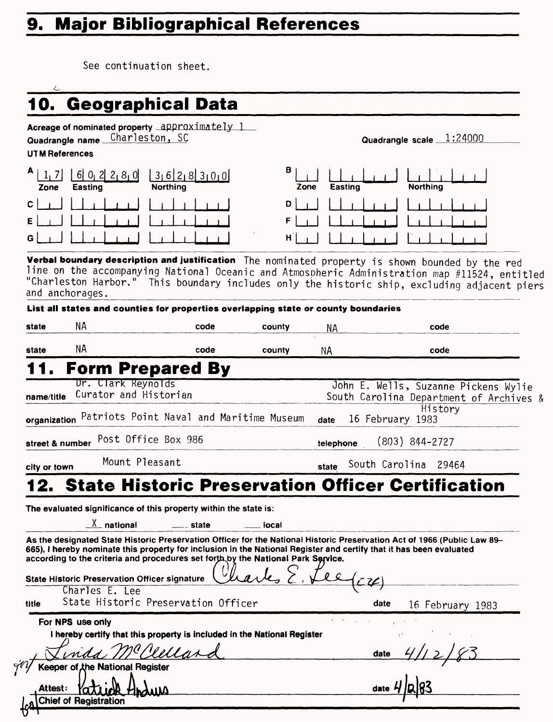# **9. Major Bibliographical References**

|                                  |                                                      | 10. Geographical Data                                                                                                                                                                                                                                                                                                                 |        |                 |                  |                                                                                            |  |
|----------------------------------|------------------------------------------------------|---------------------------------------------------------------------------------------------------------------------------------------------------------------------------------------------------------------------------------------------------------------------------------------------------------------------------------------|--------|-----------------|------------------|--------------------------------------------------------------------------------------------|--|
|                                  | Quadrangle name<br><b>UTM References</b>             | Acreage of nominated property $\Delta$ pproximately 1<br>Charleston, SC                                                                                                                                                                                                                                                               |        |                 |                  | Quadrangle scale 1:24000                                                                   |  |
| A<br>1, 7<br>Zone<br>с<br>E<br>G | 602280<br>Easting                                    | 3 6 2 8 3 0 0<br><b>Northing</b><br>Verbal boundary description and justification The nominated property is shown bounded by the red<br>line on the accompanying National Oceanic and Atmospheric Administration map #11524, entitled<br>"Charleston Harbor." This boundary includes only the historic ship, excluding adjacent piers | в<br>D | Easting<br>Zone |                  | <b>Northing</b>                                                                            |  |
|                                  | and anchorages.                                      | List all states and counties for properties overlapping state or county boundaries                                                                                                                                                                                                                                                    |        |                 |                  |                                                                                            |  |
| state                            | ΝA                                                   | code                                                                                                                                                                                                                                                                                                                                  | county | NА              |                  | code                                                                                       |  |
| state                            | <b>NA</b>                                            | code                                                                                                                                                                                                                                                                                                                                  | county | ΝA              |                  | code                                                                                       |  |
|                                  |                                                      | <b>Form Prepared By</b>                                                                                                                                                                                                                                                                                                               |        |                 |                  |                                                                                            |  |
| name/title                       | Dr. Clark Reynolds<br>Curator and Historian          | organization Patriots Point Naval and Maritime Museum                                                                                                                                                                                                                                                                                 |        | date            | 16 February 1983 | John E. Wells, Suzanne Pickens Wylie<br>South Carolina Department of Archives &<br>History |  |
|                                  | street & number                                      | Post Office Box 986                                                                                                                                                                                                                                                                                                                   |        | telephone       |                  | $(803)$ 844-2727                                                                           |  |
| city or town                     |                                                      | Mount Pleasant                                                                                                                                                                                                                                                                                                                        |        | state           |                  | South Carolina 29464                                                                       |  |
|                                  |                                                      | <b>State Historic Preservation Officer Certification</b>                                                                                                                                                                                                                                                                              |        |                 |                  |                                                                                            |  |
|                                  | $X$ national                                         | The evaluated significance of this property within the state is:<br>state<br>As the designated State Historic Preservation Officer for the National Historic Preservation Act of 1966 (Public Law 89-<br>665), I hereby nominate this property for inclusion in the National Register and certify that it has been evaluated          | local  |                 |                  |                                                                                            |  |
|                                  | <b>State Historic Preservation Officer signature</b> | according to the criteria and procedures set forth by the National Park Service.                                                                                                                                                                                                                                                      |        |                 |                  |                                                                                            |  |
| title                            | Charles E. Lee                                       | State Historic Preservation Officer                                                                                                                                                                                                                                                                                                   |        |                 | date             | 16 February 1983                                                                           |  |
|                                  | For NPS use only                                     | I hereby certify that this property is included in the National Register                                                                                                                                                                                                                                                              |        |                 | date             |                                                                                            |  |
|                                  |                                                      |                                                                                                                                                                                                                                                                                                                                       |        |                 |                  |                                                                                            |  |
|                                  | Keeper of the National Register                      |                                                                                                                                                                                                                                                                                                                                       |        |                 |                  |                                                                                            |  |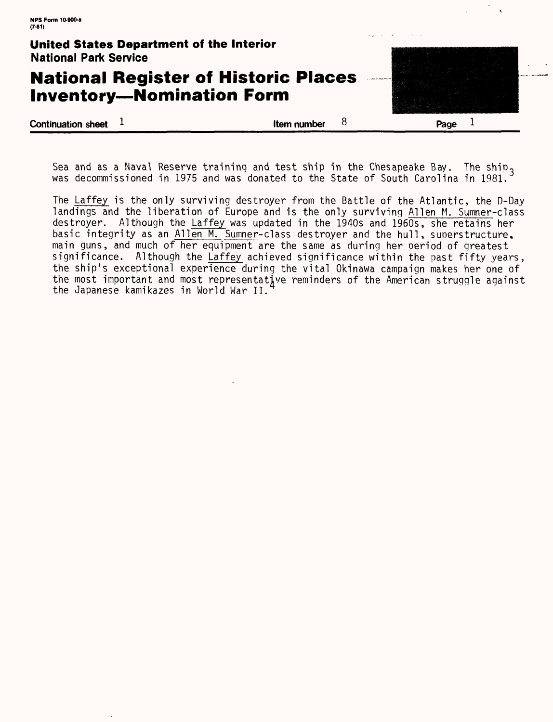### **United States Department of the Interior** National Park Service **National Register of Historic Places Inventory-Nomination Form Continuation sheet 1** and 1 and 1 and 1 and 1 and 1 and 1 and 1 and 1 and 1 and 1 and 1 and 1 and 1 and 1 and 1 and 1 and 1 and 1 and 1 and 1 and 1 and 1 and 1 and 1 and 1 and 1 and 1 and 1 and 1 and 1 and 1 and 1 and 1 a  $\mathbf{1}$

Sea and as a Naval Reserve training and test ship in the Chesapeake Bay. The ship<sub>3</sub> was decommissioned in 1975 and was donated to the State of South Carolina in 1981.

The Laffey is the only surviving destroyer from the Battle of the Atlantic, the D-Day landings and the liberation of Europe and is the only surviving Alien M. Sumner-class destroyer. Although the Laffey was updated in the 1940s and 1960s, she retains her basic integrity as an Alien M. Sumner-class destroyer and the hull, superstructure, main guns, and much of her equipment are the same as during her oeriod of greatest significance. Although the Laffey achieved significance within the past fifty years, the ship's exceptional experience during the vital Okinawa campaign makes her one of the most important and most representative reminders of the American struggle against the Japanese kamikazes in World War II.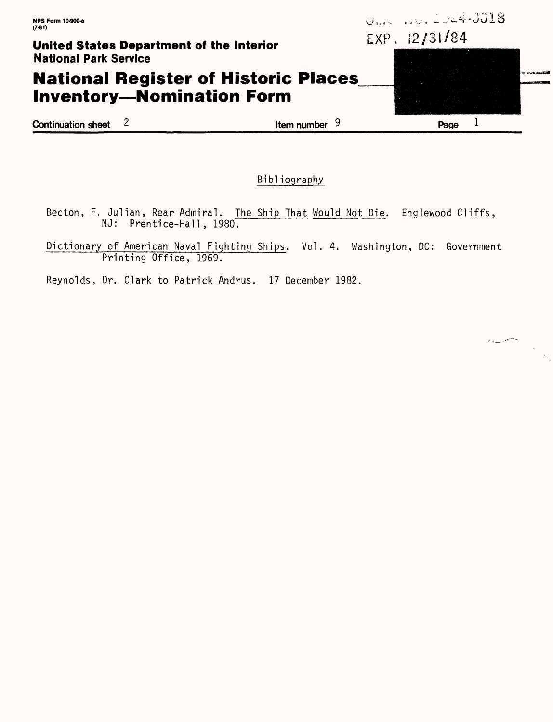#### **United States Department of the Interior** National Park Service

### **National Register of Historic Places Inventory-Nomination Form**

**Continuation sheet** 2 **Item number** 9 **Page** 1

Bibliography

- Becton, F. Julian, Rear Admiral. The Ship That Would Not Die. Englewood Cliffs, NJ: Prentice-Hall, 1980.
- Dictionary of American Naval Fighting Ships. Vol. 4. Washington, DC: Government Printing Office, 1969.

Reynolds, Dr. Clark to Patrick Andrus. 17 December 1982.

EXP. 12/31/84

0.00 000 2024-0018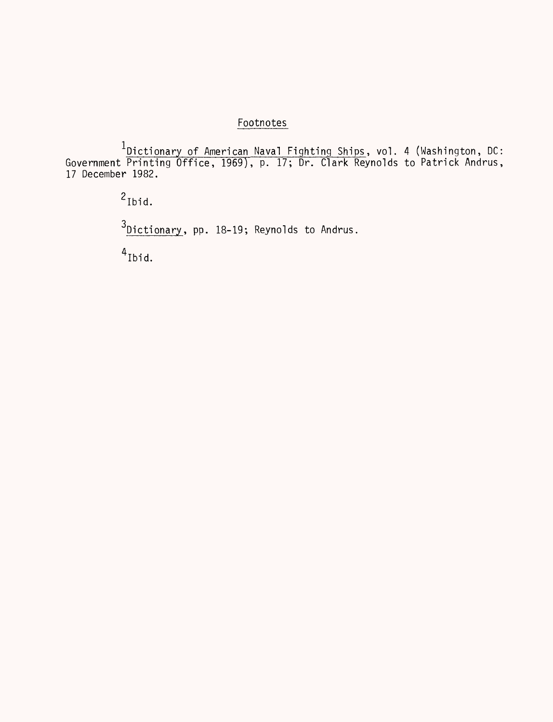#### Footnotes

Dictionary of American Naval Fighting Ships, vol. 4 (Washington, DC: Government Printing Office, 1969), p. 17; Dr. Clark Reynolds to Patrick Andrus, 17 December 1982.

> 2 Ibid.  $3$ Dictionary, pp. 18-19; Reynolds to Andrus.  $4$ Ibid.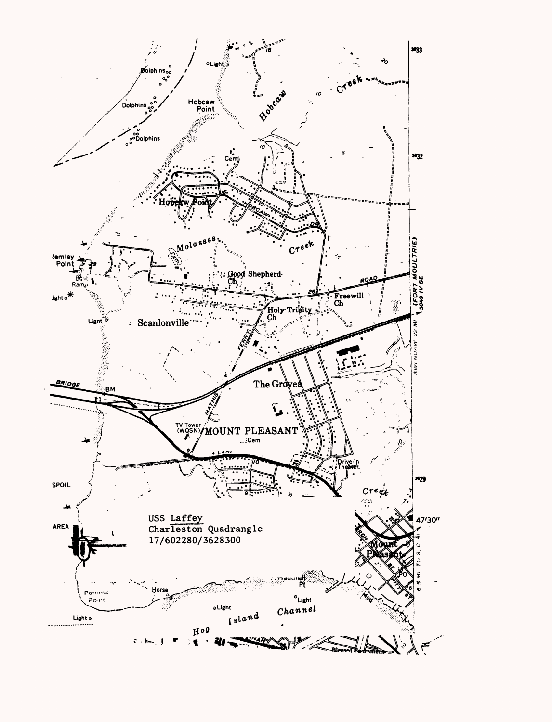